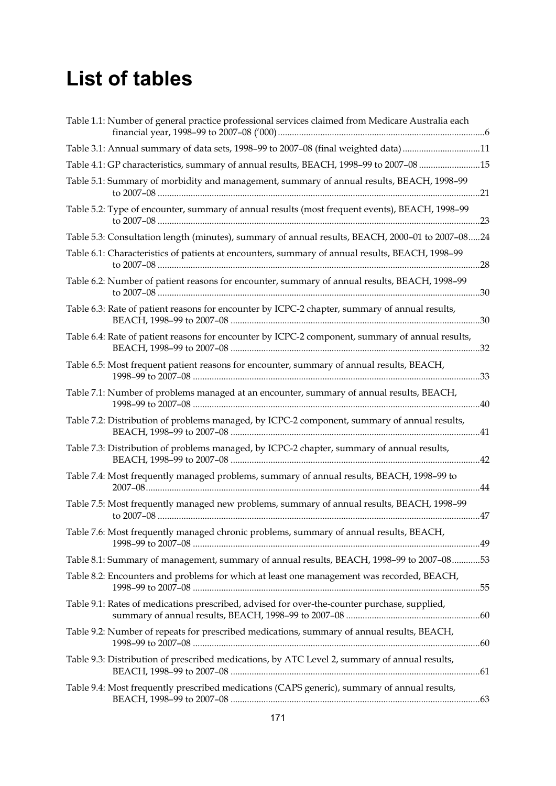## **List of tables**

| Table 1.1: Number of general practice professional services claimed from Medicare Australia each       |  |
|--------------------------------------------------------------------------------------------------------|--|
| Table 3.1: Annual summary of data sets, 1998-99 to 2007-08 (final weighted data) 11                    |  |
| Table 4.1: GP characteristics, summary of annual results, BEACH, 1998-99 to 2007-08 15                 |  |
| Table 5.1: Summary of morbidity and management, summary of annual results, BEACH, 1998-99              |  |
| Table 5.2: Type of encounter, summary of annual results (most frequent events), BEACH, 1998-99         |  |
| Table 5.3: Consultation length (minutes), summary of annual results, BEACH, 2000-01 to 2007-0824       |  |
| Table 6.1: Characteristics of patients at encounters, summary of annual results, BEACH, 1998-99<br>.28 |  |
| Table 6.2: Number of patient reasons for encounter, summary of annual results, BEACH, 1998-99          |  |
| Table 6.3: Rate of patient reasons for encounter by ICPC-2 chapter, summary of annual results,<br>.30  |  |
| Table 6.4: Rate of patient reasons for encounter by ICPC-2 component, summary of annual results,       |  |
| Table 6.5: Most frequent patient reasons for encounter, summary of annual results, BEACH,              |  |
| Table 7.1: Number of problems managed at an encounter, summary of annual results, BEACH,               |  |
| Table 7.2: Distribution of problems managed, by ICPC-2 component, summary of annual results,           |  |
| Table 7.3: Distribution of problems managed, by ICPC-2 chapter, summary of annual results,             |  |
| Table 7.4: Most frequently managed problems, summary of annual results, BEACH, 1998-99 to<br>.44       |  |
| Table 7.5: Most frequently managed new problems, summary of annual results, BEACH, 1998-99             |  |
| Table 7.6: Most frequently managed chronic problems, summary of annual results, BEACH,                 |  |
| Table 8.1: Summary of management, summary of annual results, BEACH, 1998-99 to 2007-0853               |  |
| Table 8.2: Encounters and problems for which at least one management was recorded, BEACH,              |  |
| Table 9.1: Rates of medications prescribed, advised for over-the-counter purchase, supplied,           |  |
| Table 9.2: Number of repeats for prescribed medications, summary of annual results, BEACH,             |  |
| Table 9.3: Distribution of prescribed medications, by ATC Level 2, summary of annual results,          |  |
| Table 9.4: Most frequently prescribed medications (CAPS generic), summary of annual results,           |  |